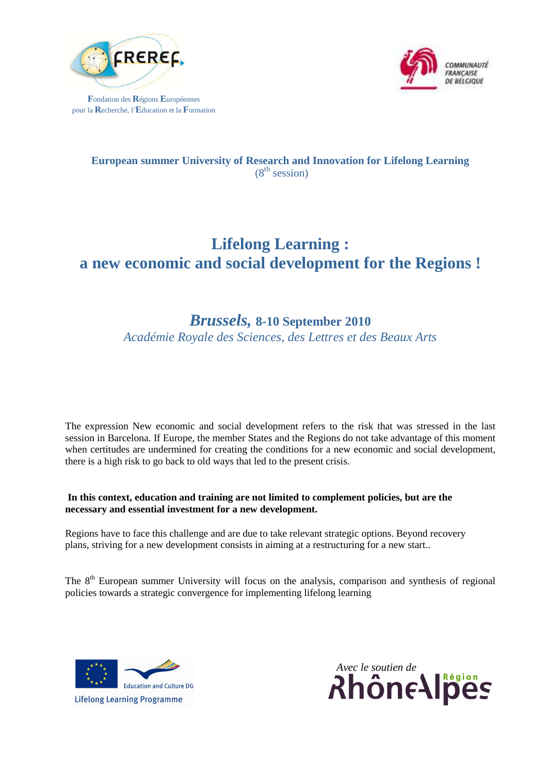

**F**ondation des **R**égions **E**uropéennes pour la **R**echerche, l'**E**ducation et la **F**ormation



### **European summer University of Research and Innovation for Lifelong Learning**   $(8<sup>th</sup> session)$

# **Lifelong Learning : a new economic and social development for the Regions !**

## *Brussels,* **8-10 September 2010**

*Académie Royale des Sciences, des Lettres et des Beaux Arts* 

The expression New economic and social development refers to the risk that was stressed in the last session in Barcelona. If Europe, the member States and the Regions do not take advantage of this moment when certitudes are undermined for creating the conditions for a new economic and social development, there is a high risk to go back to old ways that led to the present crisis.

### **In this context, education and training are not limited to complement policies, but are the necessary and essential investment for a new development.**

Regions have to face this challenge and are due to take relevant strategic options. Beyond recovery plans, striving for a new development consists in aiming at a restructuring for a new start..

The 8<sup>th</sup> European summer University will focus on the analysis, comparison and synthesis of regional policies towards a strategic convergence for implementing lifelong learning



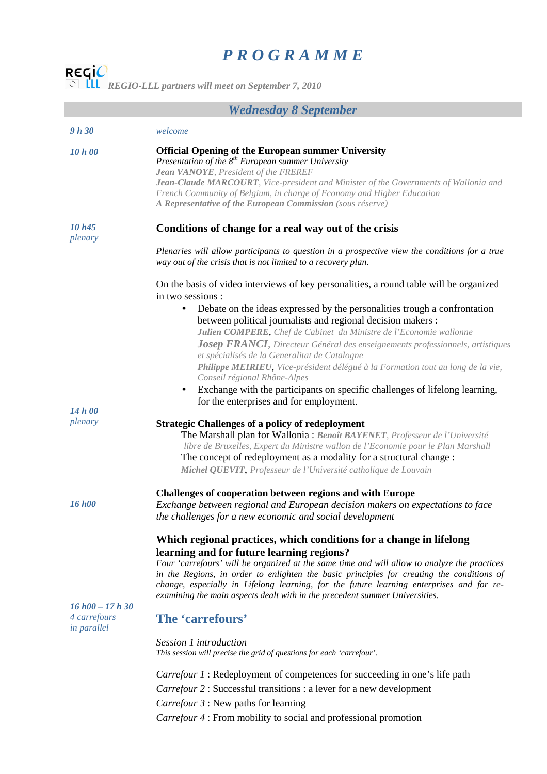## *P R O G R A M M E*

*REGIO-LLL partners will meet on September 7, 2010* 

## *Wednesday 8 September*

| 9h 30                                            | welcome                                                                                                                                                                                                                                                                                                                                                              |
|--------------------------------------------------|----------------------------------------------------------------------------------------------------------------------------------------------------------------------------------------------------------------------------------------------------------------------------------------------------------------------------------------------------------------------|
| 10 h 00                                          | <b>Official Opening of the European summer University</b><br>Presentation of the $8^{th}$ European summer University<br>Jean VANOYE, President of the FREREF<br>Jean-Claude MARCOURT, Vice-president and Minister of the Governments of Wallonia and                                                                                                                 |
|                                                  | French Community of Belgium, in charge of Economy and Higher Education<br>A Representative of the European Commission (sous réserve)                                                                                                                                                                                                                                 |
| 10h45<br>plenary                                 | Conditions of change for a real way out of the crisis                                                                                                                                                                                                                                                                                                                |
|                                                  | Plenaries will allow participants to question in a prospective view the conditions for a true<br>way out of the crisis that is not limited to a recovery plan.                                                                                                                                                                                                       |
|                                                  | On the basis of video interviews of key personalities, a round table will be organized<br>in two sessions :                                                                                                                                                                                                                                                          |
|                                                  | Debate on the ideas expressed by the personalities trough a confrontation<br>$\bullet$<br>between political journalists and regional decision makers :                                                                                                                                                                                                               |
|                                                  | Julien COMPERE, Chef de Cabinet du Ministre de l'Economie wallonne<br>Josep FRANCI, Directeur Général des enseignements professionnels, artistiques                                                                                                                                                                                                                  |
|                                                  | et spécialisés de la Generalitat de Catalogne<br>Philippe MEIRIEU, Vice-président délégué à la Formation tout au long de la vie,<br>Conseil régional Rhône-Alpes                                                                                                                                                                                                     |
|                                                  | Exchange with the participants on specific challenges of lifelong learning,<br>for the enterprises and for employment.                                                                                                                                                                                                                                               |
| 14h00                                            |                                                                                                                                                                                                                                                                                                                                                                      |
| plenary                                          | <b>Strategic Challenges of a policy of redeployment</b>                                                                                                                                                                                                                                                                                                              |
|                                                  | The Marshall plan for Wallonia : Benoît BAYENET, Professeur de l'Université<br>libre de Bruxelles, Expert du Ministre wallon de l'Economie pour le Plan Marshall                                                                                                                                                                                                     |
|                                                  | The concept of redeployment as a modality for a structural change :                                                                                                                                                                                                                                                                                                  |
|                                                  | Michel QUEVIT, Professeur de l'Université catholique de Louvain                                                                                                                                                                                                                                                                                                      |
|                                                  | <b>Challenges of cooperation between regions and with Europe</b>                                                                                                                                                                                                                                                                                                     |
| 16 h <sub>00</sub>                               | Exchange between regional and European decision makers on expectations to face<br>the challenges for a new economic and social development                                                                                                                                                                                                                           |
|                                                  | Which regional practices, which conditions for a change in lifelong<br>learning and for future learning regions?                                                                                                                                                                                                                                                     |
|                                                  | Four 'carrefours' will be organized at the same time and will allow to analyze the practices<br>in the Regions, in order to enlighten the basic principles for creating the conditions of<br>change, especially in Lifelong learning, for the future learning enterprises and for re-<br>examining the main aspects dealt with in the precedent summer Universities. |
| $16 h00 - 17 h30$<br>4 carrefours<br>in parallel | The 'carrefours'                                                                                                                                                                                                                                                                                                                                                     |
|                                                  | <i>Session 1 introduction</i><br>This session will precise the grid of questions for each 'carrefour'.                                                                                                                                                                                                                                                               |
|                                                  | <i>Carrefour 1</i> : Redeployment of competences for succeeding in one's life path                                                                                                                                                                                                                                                                                   |
|                                                  | <i>Carrefour 2</i> : Successful transitions : a lever for a new development                                                                                                                                                                                                                                                                                          |
|                                                  | Carrefour 3 : New paths for learning                                                                                                                                                                                                                                                                                                                                 |
|                                                  | Carrefour 4 : From mobility to social and professional promotion                                                                                                                                                                                                                                                                                                     |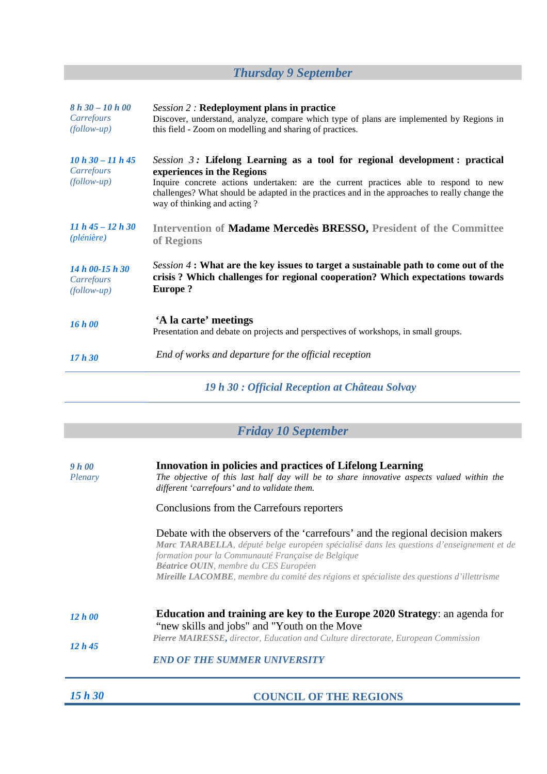# *Thursday 9 September*

| $8 h 30 - 10 h 00$<br>Carrefours<br>$(follow-up)$  | <b>Session 2: Redeployment plans in practice</b><br>Discover, understand, analyze, compare which type of plans are implemented by Regions in<br>this field - Zoom on modelling and sharing of practices.                                                                                                                               |
|----------------------------------------------------|----------------------------------------------------------------------------------------------------------------------------------------------------------------------------------------------------------------------------------------------------------------------------------------------------------------------------------------|
| $10 h 30 - 11 h 45$<br>Carrefours<br>$(follow-up)$ | Session $3$ : Lifelong Learning as a tool for regional development : practical<br>experiences in the Regions<br>Inquire concrete actions undertaken: are the current practices able to respond to new<br>challenges? What should be adapted in the practices and in the approaches to really change the<br>way of thinking and acting? |
| $11 h 45 - 12 h 30$<br>(plénière)                  | Intervention of <b>Madame Mercedes BRESSO</b> , President of the Committee<br>of Regions                                                                                                                                                                                                                                               |
| 14 h 00-15 h 30<br>Carrefours<br>$(follow-up)$     | Session 4 : What are the key issues to target a sustainable path to come out of the<br>crisis? Which challenges for regional cooperation? Which expectations towards<br><b>Europe?</b>                                                                                                                                                 |
| 16 h 00                                            | 'A la carte' meetings<br>Presentation and debate on projects and perspectives of workshops, in small groups.                                                                                                                                                                                                                           |
| 17h30                                              | End of works and departure for the official reception                                                                                                                                                                                                                                                                                  |
|                                                    |                                                                                                                                                                                                                                                                                                                                        |

*19 h 30 : Official Reception at Château Solvay* 

|  |  | <b>Friday 10 September</b> |  |
|--|--|----------------------------|--|
|--|--|----------------------------|--|

| 9 h 00<br>Plenary | <b>Innovation in policies and practices of Lifelong Learning</b><br>The objective of this last half day will be to share innovative aspects valued within the<br>different 'carrefours' and to validate them.                                                                                                                                                                  |  |
|-------------------|--------------------------------------------------------------------------------------------------------------------------------------------------------------------------------------------------------------------------------------------------------------------------------------------------------------------------------------------------------------------------------|--|
|                   | Conclusions from the Carrefours reporters                                                                                                                                                                                                                                                                                                                                      |  |
|                   | Debate with the observers of the 'carrefours' and the regional decision makers<br>Marc TARABELLA, député belge européen spécialisé dans les questions d'enseignement et de<br>formation pour la Communauté Française de Belgique<br><b>Béatrice OUIN</b> , membre du CES Européen<br>Mireille LACOMBE, membre du comité des régions et spécialiste des questions d'illettrisme |  |
| 12 h00            | <b>Education and training are key to the Europe 2020 Strategy: an agenda for</b><br>"new skills and jobs" and "Youth on the Move"                                                                                                                                                                                                                                              |  |
| 12 h 45           | Pierre MAIRESSE, director, Education and Culture directorate, European Commission                                                                                                                                                                                                                                                                                              |  |
|                   | <b>END OF THE SUMMER UNIVERSITY</b>                                                                                                                                                                                                                                                                                                                                            |  |

*15 h 30* **COUNCIL OF THE REGIONS**